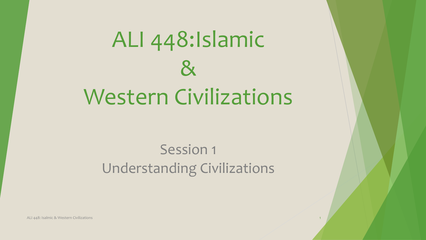# ALI 448:Islamic  $\mathcal{R}_{\mathbf{X}}$ Western Civilizations

### Session 1 Understanding Civilizations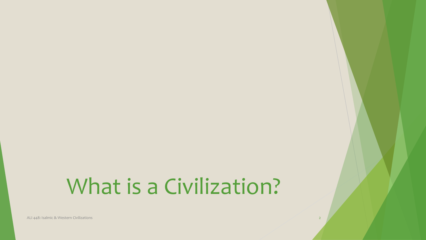## What is a Civilization?

ALI 448: Isalmic & Western Civilizations 2018 2019 12: 2019 12: 2019 12: 2019 12: 2019 12: 2019 12: 2019 12: 2019 12: 2019 12: 2019 12: 2019 12: 2019 12: 2019 12: 2019 12: 2019 12: 2019 12: 2019 12: 2019 12: 2019 12: 2019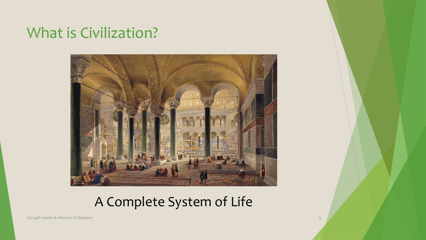### What is Civilization?



### A Complete System of Life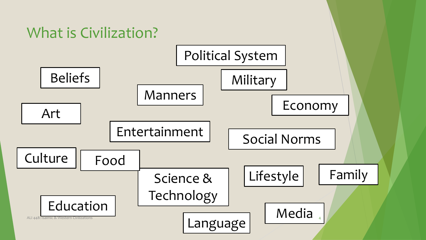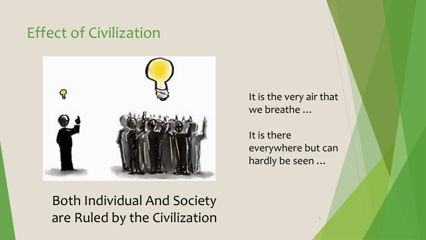### Effect of Civilization



It is the very air that we breathe …

It is there everywhere but can hardly be seen …

5

Both Individual And Society are Ruled by the Civilization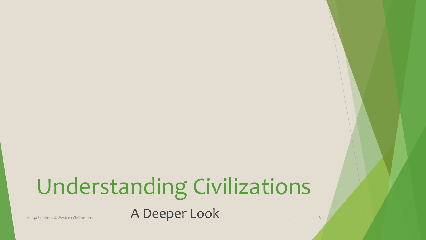# Understanding Civilizations

ALI 448: Isalmic & Western Civilizations **A Deeper Look** 6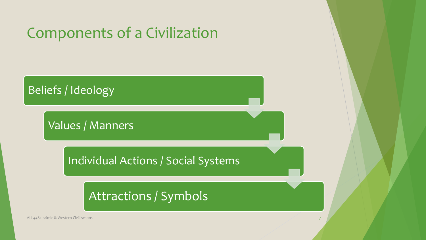### Components of a Civilization



Values / Manners

Individual Actions / Social Systems

Attractions / Symbols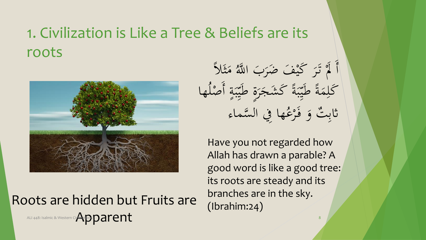### 1. Civilization is Like a Tree & Beliefs are its roots



Roots are hidden but Fruits are Apparent ALI 448: Isalmic & Western Civilizations 8 **ALI ( + 1 ) (** + 1 ) ( + 1 ) ( + 1 ) ( + 1 ) ( + 1 ) ( + 1 ) ( + 1 ) ( + 1 ( + 1 ) ( + 1 ) ( + 1 ) ( + 1 ) ( + 1 ) ( + 1 ) ( + 1 ) ( + 1 ) ( + 1 ) ( + 1 ) ( + 1 ) ( + 1 ) ( + 1 )

أ لاً تَرَ كَيْفَ ضَرَبَ<br>مَد حَمَدَ مَسَدَ م ر<br>په ن<br>ر  $\rightarrow$  $\overline{\phantom{a}}$ ه اللَّهُ مَثَلاً<br>م  $\blacktriangle$  $\tilde{\mathbf{r}}$ ان<br>ا كَلِمَةً طَيِّبَةً  $\boldsymbol{\lambda}$ ِ<br>ِل  $\ddot{\cdot}$ بد س<br>پر  $\frac{1}{2}$ طَيّبَةً كَشَجَرَة  $\ddot{o}$ يا<br>ج ر'<br>.  $\boldsymbol{\mathcal{S}}$ نہ<br>نہ بر س<br>پر  $\frac{1}{2}$ يا<br>ج طَيِّبَةٍ أَصْلُهَا **21** م ت  $\ddot{\phantom{0}}$ ِ<br>ب ثابِتٌ وَ فَرْعُها 9<br>J ه فَرْغُها فِي السَّماء ر<br>ر <u>ف</u>

Have you not regarded how Allah has drawn a parable? A good word is like a good tree: its roots are steady and its branches are in the sky. (Ibrahim:24)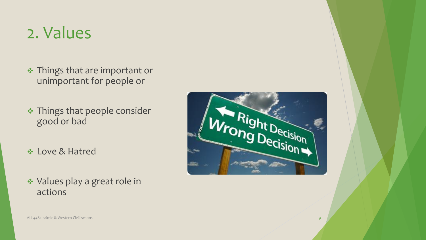## 2. Values

- **❖ Things that are important or** unimportant for people or
- \* Things that people consider good or bad
- Love & Hatred
- Values play a great role in actions

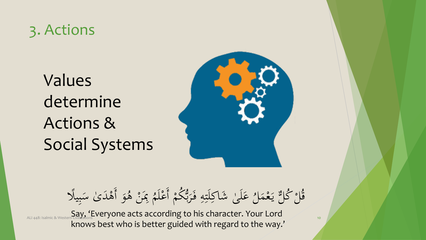### 3. Actions

Values determine Actions & Social Systems



عَلَىٰ شَاكِلَتِهِ فَرَبٌّ بر<br>باند )<br>.  $\frac{1}{2}$ ِ  $\ddot{\ddot{\cdot}}$ **: ; ;**  $\frac{1}{2}$ ا<br>ا  $\frac{1}{\sqrt{2}}$ <mark>ک</mark> )<br>.<br>. قُلْ ݣَالٌ يَعْمَلُ عَلَىٰ شَاكِلَتِهِ فَرَبُّكُمْ أَعْلَمُ بِمَنْ هُوَ أَهْدَىٰ  $\blacklozenge$ م يا<br>. م م و<br>ر ه ېمَنْ هُ م  $\mathbf{r}$  $\ddot{\phantom{0}}$ ه ْكُمْ أَعْلَمُ بِمَنْ هُوَ أَهْدَىٰ سَبِيلًا  $\frac{1}{\sqrt{2}}$ م م  $\ddot{\cdot}$ بد  $\overline{ }$ 

ALI 448: Isalmic & Western Civilizations **Cording to his character. Your Lord** knows best who is better guided with regard to the way.'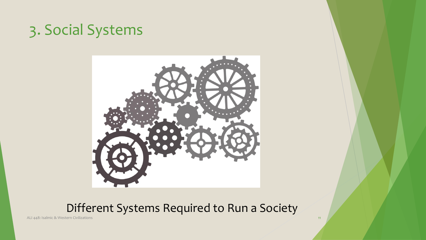### 3. Social Systems



#### Different Systems Required to Run a Society

ALI 448: Isalmic & Western Civilizations 11 and 2008 to the Company of the Company of the Company of the Company of the Company of the Company of the Company of the Company of the Company of the Company of the Company of t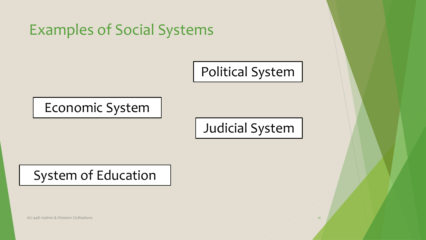

System of Education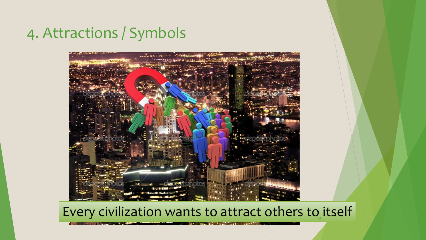### 4. Attractions / Symbols



#### Every civilization wants to attract others to itself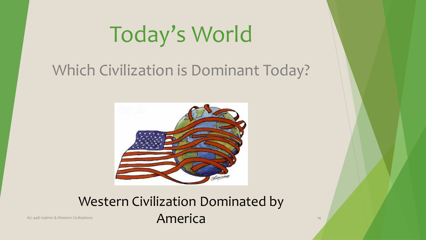# Today's World

## Which Civilization is Dominant Today?



### Western Civilization Dominated by ALI 448: Isalmic & Western Civilizations 14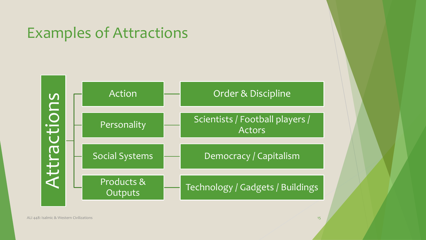### Examples of Attractions

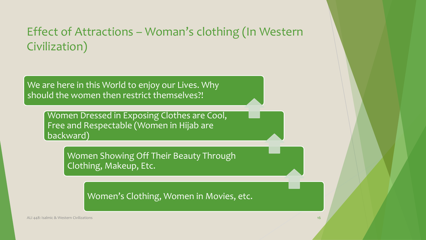#### Effect of Attractions – Woman's clothing (In Western Civilization)

We are here in this World to enjoy our Lives. Why should the women then restrict themselves?!

> Women Dressed in Exposing Clothes are Cool, Free and Respectable (Women in Hijab are backward)

> > Women Showing Off Their Beauty Through Clothing, Makeup, Etc.

> > > Women's Clothing, Women in Movies, etc.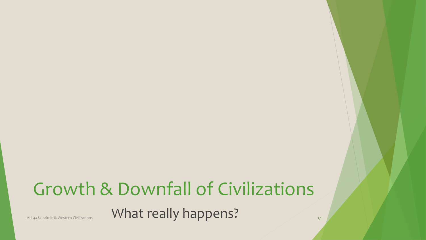## Growth & Downfall of Civilizations ALI 448: Isalmic & Western Civilizations **17 What really happens?** 17 17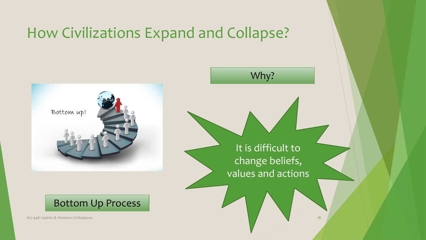### How Civilizations Expand and Collapse?





ALI 448: Isalmic & Western Civilizations 18 and 2008 to the Communications in the Communication of the Communications of the Communications of the Communications of the Communications of the Communications of the Communica



It is difficult to change beliefs, values and actions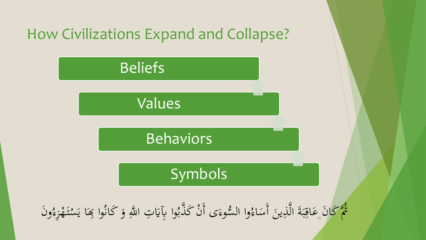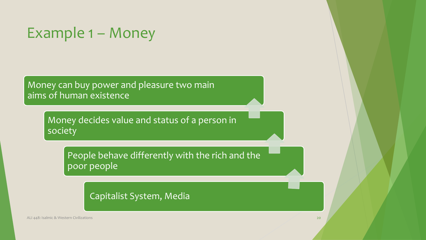### Example 1 – Money

Money can buy power and pleasure two main aims of human existence

> Money decides value and status of a person in society

People behave differently with the rich and the poor people

Capitalist System, Media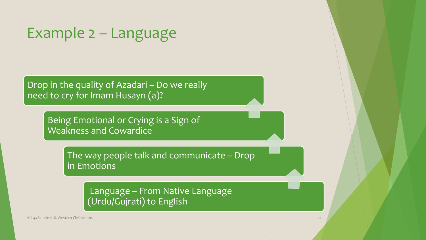### Example 2 – Language

Drop in the quality of Azadari – Do we really need to cry for Imam Husayn (a)?

> Being Emotional or Crying is a Sign of Weakness and Cowardice

> > The way people talk and communicate – Drop in Emotions

> > > Language – From Native Language (Urdu/Gujrati) to English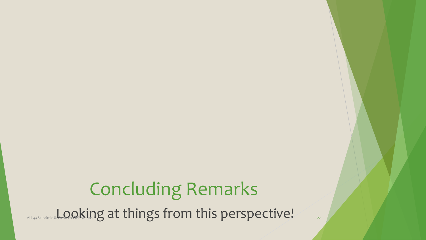## Concluding Remarks ALI 448: Isalmic & Western Cooking at things from this perspective!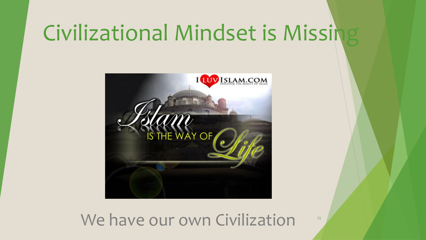# Civilizational Mindset is Missing



### We have our own Civilization 23